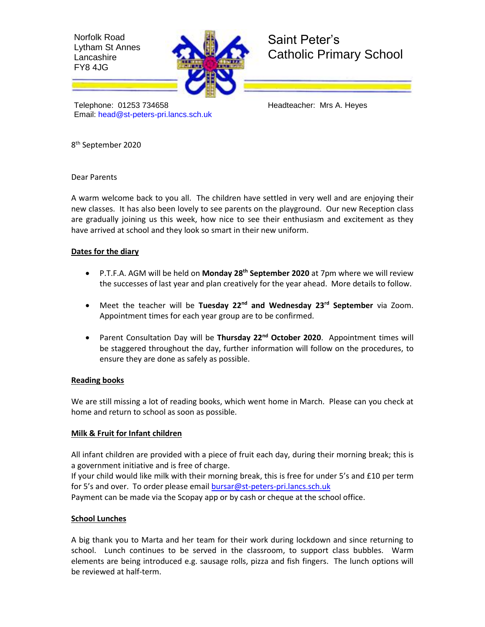Norfolk Road Lytham St Annes **Lancashire** FY8 4JG



# Saint Peter's Catholic Primary School

Telephone: 01253 734658 Headteacher: Mrs A. Heyes Email: [head@st-peters-pri.lancs.sch.uk](mailto:head@st-peters-pri.lancs.sch.uk)

8 th September 2020

Dear Parents

A warm welcome back to you all. The children have settled in very well and are enjoying their new classes. It has also been lovely to see parents on the playground. Our new Reception class are gradually joining us this week, how nice to see their enthusiasm and excitement as they have arrived at school and they look so smart in their new uniform.

## **Dates for the diary**

- P.T.F.A. AGM will be held on **Monday 28th September 2020** at 7pm where we will review the successes of last year and plan creatively for the year ahead. More details to follow.
- Meet the teacher will be **Tuesday 22nd and Wednesday 23rd September** via Zoom. Appointment times for each year group are to be confirmed.
- Parent Consultation Day will be **Thursday 22nd October 2020**. Appointment times will be staggered throughout the day, further information will follow on the procedures, to ensure they are done as safely as possible.

### **Reading books**

We are still missing a lot of reading books, which went home in March. Please can you check at home and return to school as soon as possible.

# **Milk & Fruit for Infant children**

All infant children are provided with a piece of fruit each day, during their morning break; this is a government initiative and is free of charge.

If your child would like milk with their morning break, this is free for under 5's and £10 per term for 5's and over. To order please email [bursar@st-peters-pri.lancs.sch.uk](mailto:bursar@st-peters-pri.lancs.sch.uk) Payment can be made via the Scopay app or by cash or cheque at the school office.

# **School Lunches**

A big thank you to Marta and her team for their work during lockdown and since returning to school. Lunch continues to be served in the classroom, to support class bubbles. Warm elements are being introduced e.g. sausage rolls, pizza and fish fingers. The lunch options will be reviewed at half-term.